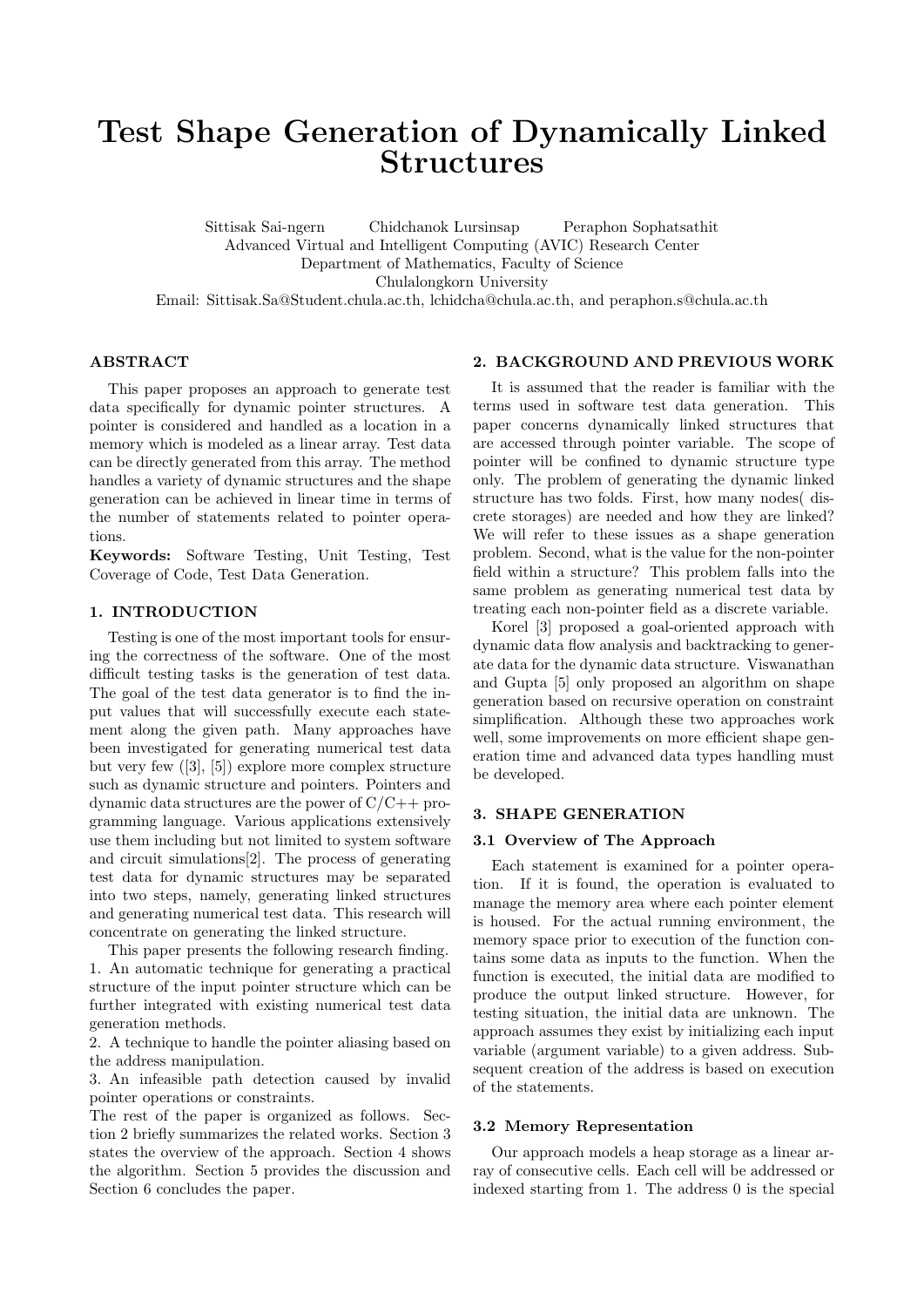# Test Shape Generation of Dynamically Linked **Structures**

Sittisak Sai-ngern Chidchanok Lursinsap Peraphon Sophatsathit Advanced Virtual and Intelligent Computing (AVIC) Research Center Department of Mathematics, Faculty of Science Chulalongkorn University Email: Sittisak.Sa@Student.chula.ac.th, lchidcha@chula.ac.th, and peraphon.s@chula.ac.th

# ABSTRACT

This paper proposes an approach to generate test data specifically for dynamic pointer structures. A pointer is considered and handled as a location in a memory which is modeled as a linear array. Test data can be directly generated from this array. The method handles a variety of dynamic structures and the shape generation can be achieved in linear time in terms of the number of statements related to pointer operations.

Keywords: Software Testing, Unit Testing, Test Coverage of Code, Test Data Generation.

# 1. INTRODUCTION

Testing is one of the most important tools for ensuring the correctness of the software. One of the most difficult testing tasks is the generation of test data. The goal of the test data generator is to find the input values that will successfully execute each statement along the given path. Many approaches have been investigated for generating numerical test data but very few ([3], [5]) explore more complex structure such as dynamic structure and pointers. Pointers and dynamic data structures are the power of C/C++ programming language. Various applications extensively use them including but not limited to system software and circuit simulations[2]. The process of generating test data for dynamic structures may be separated into two steps, namely, generating linked structures and generating numerical test data. This research will concentrate on generating the linked structure.

This paper presents the following research finding. 1. An automatic technique for generating a practical structure of the input pointer structure which can be further integrated with existing numerical test data generation methods.

2. A technique to handle the pointer aliasing based on the address manipulation.

3. An infeasible path detection caused by invalid pointer operations or constraints.

The rest of the paper is organized as follows. Section 2 briefly summarizes the related works. Section 3 states the overview of the approach. Section 4 shows the algorithm. Section 5 provides the discussion and Section 6 concludes the paper.

## 2. BACKGROUND AND PREVIOUS WORK

It is assumed that the reader is familiar with the terms used in software test data generation. This paper concerns dynamically linked structures that are accessed through pointer variable. The scope of pointer will be confined to dynamic structure type only. The problem of generating the dynamic linked structure has two folds. First, how many nodes( discrete storages) are needed and how they are linked? We will refer to these issues as a shape generation problem. Second, what is the value for the non-pointer field within a structure? This problem falls into the same problem as generating numerical test data by treating each non-pointer field as a discrete variable.

Korel [3] proposed a goal-oriented approach with dynamic data flow analysis and backtracking to generate data for the dynamic data structure. Viswanathan and Gupta [5] only proposed an algorithm on shape generation based on recursive operation on constraint simplification. Although these two approaches work well, some improvements on more efficient shape generation time and advanced data types handling must be developed.

#### 3. SHAPE GENERATION

#### 3.1 Overview of The Approach

Each statement is examined for a pointer operation. If it is found, the operation is evaluated to manage the memory area where each pointer element is housed. For the actual running environment, the memory space prior to execution of the function contains some data as inputs to the function. When the function is executed, the initial data are modified to produce the output linked structure. However, for testing situation, the initial data are unknown. The approach assumes they exist by initializing each input variable (argument variable) to a given address. Subsequent creation of the address is based on execution of the statements.

# 3.2 Memory Representation

Our approach models a heap storage as a linear array of consecutive cells. Each cell will be addressed or indexed starting from 1. The address 0 is the special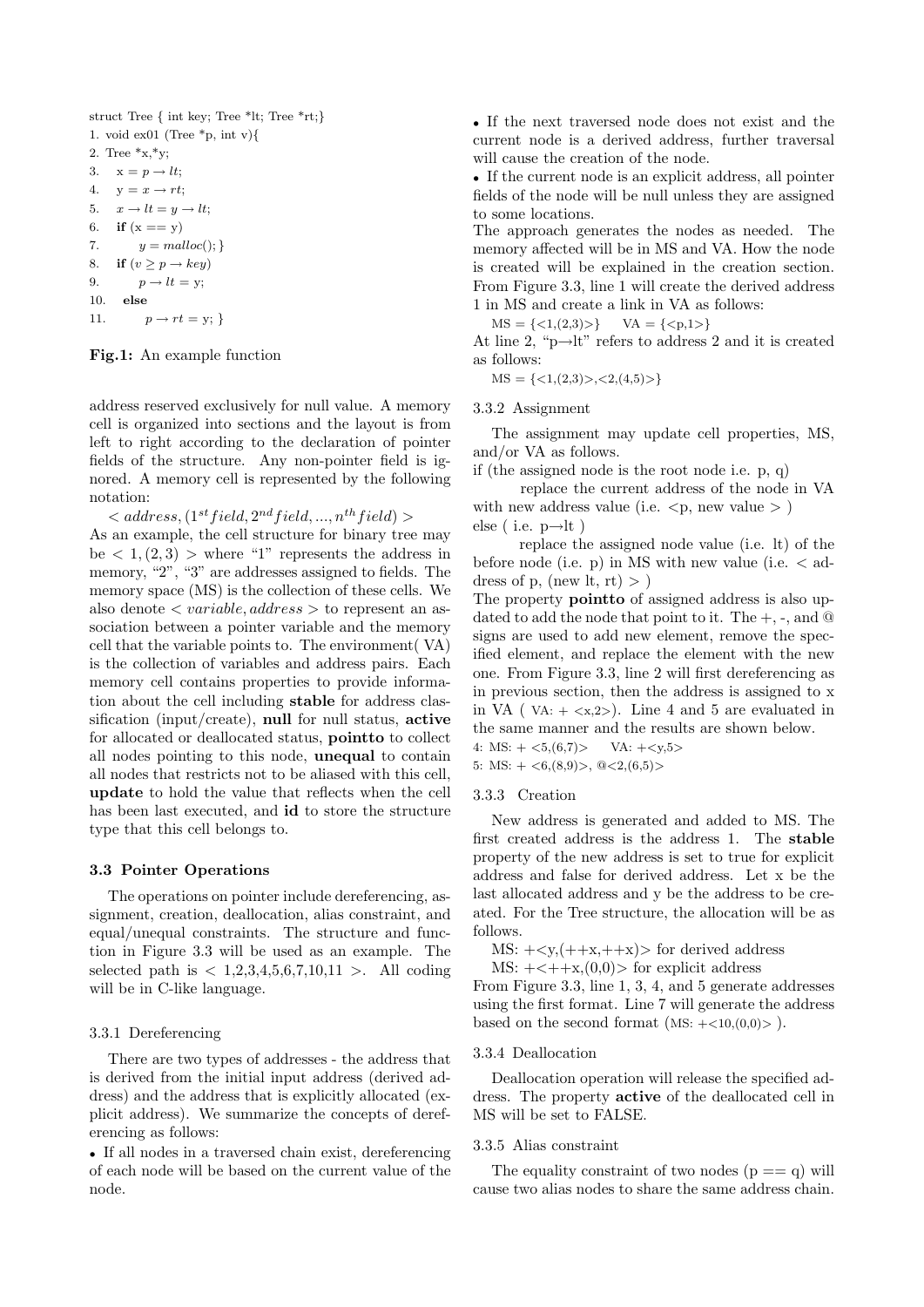```
struct Tree { int key; Tree *lt; Tree *rt;}
1. void ex01 (Tree *_p, int v){
2. Tree x, xy;
3. x = p \rightarrow lt;4. y = x \rightarrow rt;5. x \rightarrow lt = y \rightarrow lt;6. if (x == y)7. y = \text{malloc}();8. if (v \geq p \rightarrow key)9. p \rightarrow lt = y;10. else
11. p \to rt = y;
```
Fig.1: An example function

address reserved exclusively for null value. A memory cell is organized into sections and the layout is from left to right according to the declaration of pointer fields of the structure. Any non-pointer field is ignored. A memory cell is represented by the following notation:

 $\langle \langle \langle \langle u \rangle \rangle \rangle \langle \langle u \rangle \rangle = d \langle \langle u \rangle \langle \langle u \rangle \rangle \langle \langle u \rangle \rangle$ As an example, the cell structure for binary tree may be  $\langle 1, (2,3) \rangle$  where "1" represents the address in memory, "2", "3" are addresses assigned to fields. The memory space (MS) is the collection of these cells. We also denote  $\langle \text{variable}, \text{address} \rangle$  to represent an association between a pointer variable and the memory cell that the variable points to. The environment( VA) is the collection of variables and address pairs. Each memory cell contains properties to provide information about the cell including stable for address classification (input/create), null for null status, active for allocated or deallocated status, pointto to collect all nodes pointing to this node, unequal to contain all nodes that restricts not to be aliased with this cell, update to hold the value that reflects when the cell has been last executed, and id to store the structure type that this cell belongs to.

#### 3.3 Pointer Operations

The operations on pointer include dereferencing, assignment, creation, deallocation, alias constraint, and equal/unequal constraints. The structure and function in Figure 3.3 will be used as an example. The selected path is  $\langle 1,2,3,4,5,6,7,10,11 \rangle$ . All coding will be in C-like language.

# 3.3.1 Dereferencing

There are two types of addresses - the address that is derived from the initial input address (derived address) and the address that is explicitly allocated (explicit address). We summarize the concepts of dereferencing as follows:

• If all nodes in a traversed chain exist, dereferencing of each node will be based on the current value of the node.

• If the next traversed node does not exist and the current node is a derived address, further traversal will cause the creation of the node.

• If the current node is an explicit address, all pointer fields of the node will be null unless they are assigned to some locations.

The approach generates the nodes as needed. The memory affected will be in MS and VA. How the node is created will be explained in the creation section. From Figure 3.3, line 1 will create the derived address 1 in MS and create a link in VA as follows:

 $MS = \{ \langle 1, (2,3) \rangle \}$   $VA = \{ \langle p, 1 \rangle \}$ 

At line 2, "p $\rightarrow$ lt" refers to address 2 and it is created as follows:

 $MS = \{<1,(2,3)>, <2,(4,5)>\}$ 

#### 3.3.2 Assignment

The assignment may update cell properties, MS, and/or VA as follows.

if (the assigned node is the root node i.e. p, q)

replace the current address of the node in VA with new address value (i.e.  $\langle p, new value \rangle$ ) else ( i.e.  $p \rightarrow$ lt )

replace the assigned node value (i.e. lt) of the before node (i.e.  $p$ ) in MS with new value (i.e.  $\lt$  address of p, (new lt, rt)  $>$ )

The property pointto of assigned address is also updated to add the node that point to it. The  $+$ ,  $-$ , and  $@$ signs are used to add new element, remove the specified element, and replace the element with the new one. From Figure 3.3, line 2 will first dereferencing as in previous section, then the address is assigned to x in VA (  $VA: + \langle x, 2 \rangle$ ). Line 4 and 5 are evaluated in the same manner and the results are shown below.

4: MS:  $+ <5,(6,7)$ > VA:  $+$ 

5: MS:  $+ <6$ ,  $(8,9)$ ,  $@ <2$ ,  $(6,5)$ 

#### 3.3.3 Creation

New address is generated and added to MS. The first created address is the address 1. The stable property of the new address is set to true for explicit address and false for derived address. Let x be the last allocated address and y be the address to be created. For the Tree structure, the allocation will be as follows.

MS:  $+\langle y,(++x,++x)\rangle$  for derived address

MS:  $+<+\times,(0,0)>$  for explicit address

From Figure 3.3, line 1, 3, 4, and 5 generate addresses using the first format. Line 7 will generate the address based on the second format  $(MS: +<10, (0,0)>)$ .

# 3.3.4 Deallocation

Deallocation operation will release the specified address. The property active of the deallocated cell in MS will be set to FALSE.

# 3.3.5 Alias constraint

The equality constraint of two nodes  $(p == q)$  will cause two alias nodes to share the same address chain.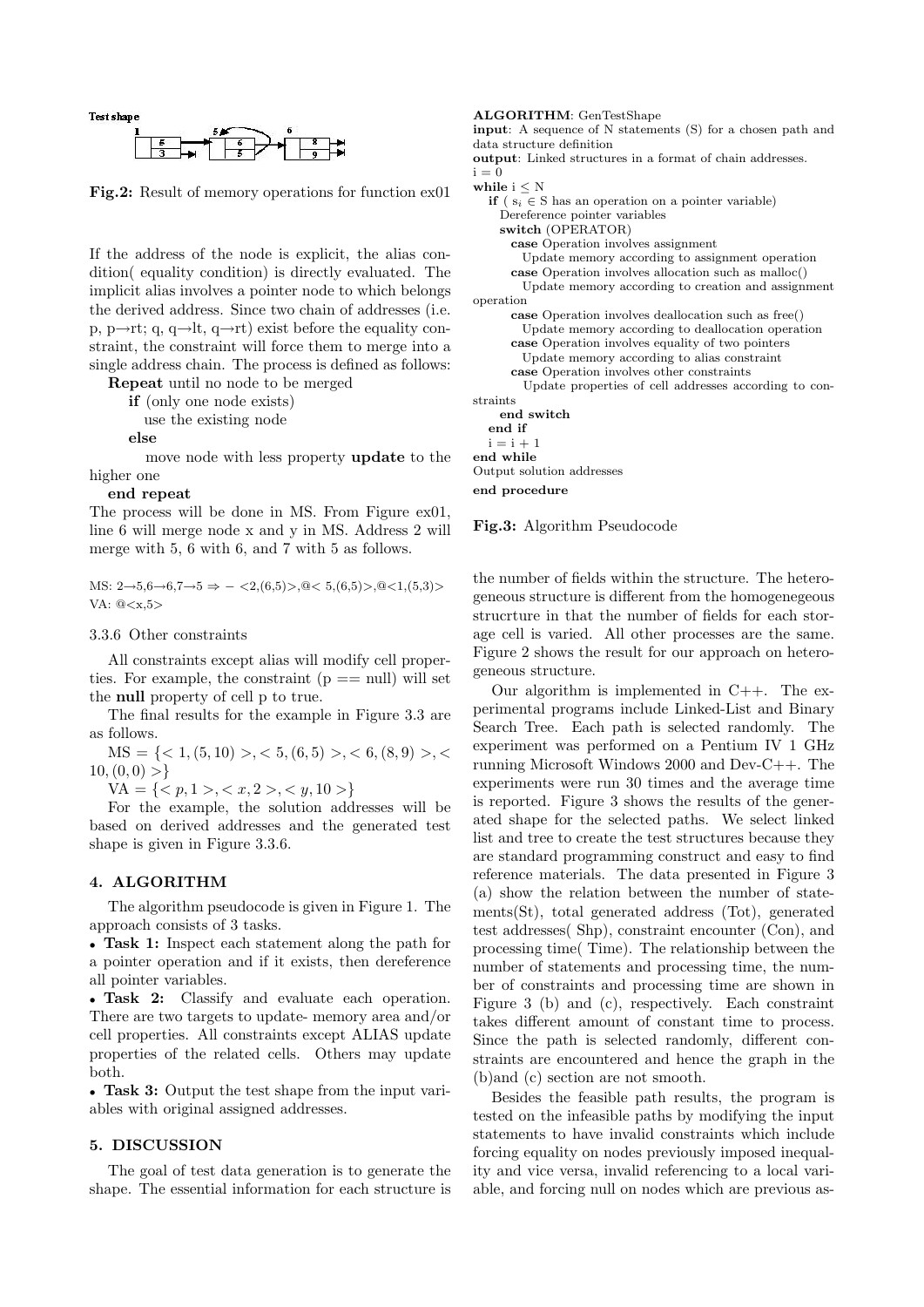

Fig.2: Result of memory operations for function ex01

If the address of the node is explicit, the alias condition( equality condition) is directly evaluated. The implicit alias involves a pointer node to which belongs the derived address. Since two chain of addresses (i.e. p, p $\rightarrow$ rt; q, q $\rightarrow$ lt, q $\rightarrow$ rt) exist before the equality constraint, the constraint will force them to merge into a single address chain. The process is defined as follows:

Repeat until no node to be merged

if (only one node exists)

use the existing node

else

move node with less property update to the higher one

#### end repeat

The process will be done in MS. From Figure ex01, line 6 will merge node x and y in MS. Address 2 will merge with 5, 6 with 6, and 7 with 5 as follows.

MS:  $2 \rightarrow 5,6 \rightarrow 6,7 \rightarrow 5 \Rightarrow -\langle 2,(6,5) \rangle, \text{@} \langle 5,(6,5) \rangle, \text{@} \langle 1,(5,3) \rangle$ VA: @<x,5>

# 3.3.6 Other constraints

All constraints except alias will modify cell properties. For example, the constraint  $(p == null)$  will set the null property of cell p to true.

The final results for the example in Figure 3.3 are as follows.

 $\text{MS} = \{ \langle 1, (5, 10) \rangle, \langle 5, (6, 5) \rangle, \langle 6, (8, 9) \rangle, \langle 6, (9, 10) \rangle, \langle 6, (10, 10) \rangle, \langle 6, (10, 10) \rangle, \langle 6, (10, 10) \rangle, \langle 6, (10, 10) \rangle, \langle 6, (10, 10) \rangle, \langle 6, (10, 10) \rangle, \langle 6, (10, 10) \rangle, \langle 6, (10, 10) \rangle, \langle 6, (10, 10) \rangle, \langle 6, (10,$  $10,(0, 0) >$ 

 $VA = \{ \langle p, 1 \rangle, \langle x, 2 \rangle, \langle y, 10 \rangle \}$ 

For the example, the solution addresses will be based on derived addresses and the generated test shape is given in Figure 3.3.6.

# 4. ALGORITHM

The algorithm pseudocode is given in Figure 1. The approach consists of 3 tasks.

• Task 1: Inspect each statement along the path for a pointer operation and if it exists, then dereference all pointer variables.

• Task 2: Classify and evaluate each operation. There are two targets to update- memory area and/or cell properties. All constraints except ALIAS update properties of the related cells. Others may update both.

• Task 3: Output the test shape from the input variables with original assigned addresses.

# 5. DISCUSSION

The goal of test data generation is to generate the shape. The essential information for each structure is

#### ALGORITHM: GenTestShape input: A sequence of N statements (S) for a chosen path and data structure definition output: Linked structures in a format of chain addresses.  $i = 0$ while  $i \leq N$ **if** (  $s_i \in S$  has an operation on a pointer variable) Dereference pointer variables switch (OPERATOR) case Operation involves assignment Update memory according to assignment operation case Operation involves allocation such as malloc() Update memory according to creation and assignment operation case Operation involves deallocation such as free() Update memory according to deallocation operation case Operation involves equality of two pointers Update memory according to alias constraint case Operation involves other constraints Update properties of cell addresses according to constraints end switch

end if  $i = i + 1$ end while Output solution addresses

end procedure

Fig.3: Algorithm Pseudocode

the number of fields within the structure. The heterogeneous structure is different from the homogenegeous strucrture in that the number of fields for each storage cell is varied. All other processes are the same. Figure 2 shows the result for our approach on heterogeneous structure.

Our algorithm is implemented in  $C_{++}$ . The experimental programs include Linked-List and Binary Search Tree. Each path is selected randomly. The experiment was performed on a Pentium IV 1 GHz running Microsoft Windows 2000 and Dev-C++. The experiments were run 30 times and the average time is reported. Figure 3 shows the results of the generated shape for the selected paths. We select linked list and tree to create the test structures because they are standard programming construct and easy to find reference materials. The data presented in Figure 3 (a) show the relation between the number of statements(St), total generated address (Tot), generated test addresses( Shp), constraint encounter (Con), and processing time( Time). The relationship between the number of statements and processing time, the number of constraints and processing time are shown in Figure 3 (b) and (c), respectively. Each constraint takes different amount of constant time to process. Since the path is selected randomly, different constraints are encountered and hence the graph in the (b)and (c) section are not smooth.

Besides the feasible path results, the program is tested on the infeasible paths by modifying the input statements to have invalid constraints which include forcing equality on nodes previously imposed inequality and vice versa, invalid referencing to a local variable, and forcing null on nodes which are previous as-